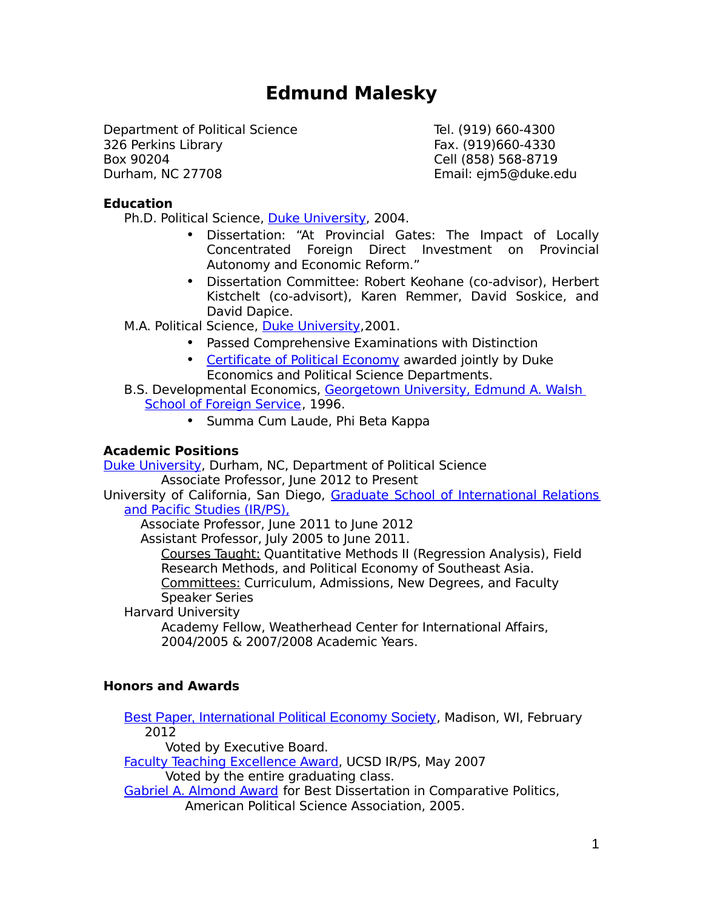# **Edmund Malesky**

Department of Political Science Tel. (919) 660-4300 326 Perkins Library Fax. (919)660-4330 Box 90204 Cell (858) 568-8719 Durham, NC 27708 Email: ejm5@duke.edu

## **Education**

Ph.D. Political Science, [Duke University,](http://www.poli.duke.edu/) 2004.

- Dissertation: "At Provincial Gates: The Impact of Locally Concentrated Foreign Direct Investment on Provincial Autonomy and Economic Reform."
- Dissertation Committee: Robert Keohane (co-advisor), Herbert Kistchelt (co-advisort), Karen Remmer, David Soskice, and David Dapice.

M.A. Political Science, [Duke University,](http://www.poli.duke.edu/) 2001.

- Passed Comprehensive Examinations with Distinction
- • [Certificate of Political Economy](http://polisci.duke.edu/graduate) awarded jointly by Duke Economics and Political Science Departments.
- B.S. Developmental Economics, [Georgetown University, Edmund A. Walsh](http://sfs.georgetown.edu/)  [School of Foreign Service](http://sfs.georgetown.edu/), 1996.
	- Summa Cum Laude, Phi Beta Kappa

## **Academic Positions**

[Duke University,](http://www.poli.duke.edu/) Durham, NC, Department of Political Science Associate Professor, June 2012 to Present

University of California, San Diego, [Graduate School of International Relations](http://irps.ucsd.edu/) [and Pacific Studies \(IR/PS\),](http://irps.ucsd.edu/)

Associate Professor, June 2011 to June 2012

Assistant Professor, July 2005 to June 2011.

Courses Taught: Quantitative Methods II (Regression Analysis), Field Research Methods, and Political Economy of Southeast Asia. Committees: Curriculum, Admissions, New Degrees, and Faculty

Speaker Series

Harvard University

Academy Fellow, Weatherhead Center for International Affairs, 2004/2005 & 2007/2008 Academic Years.

## **Honors and Awards**

[Best Paper, International Political Economy Society](https://ncgg.princeton.edu/IPES/index.php), Madison, WI, February 2012

Voted by Executive Board.

[Faculty Teaching Excellence Award,](http://cpe.ucsd.edu/faculty/faculty-spotlight-malesky.htm) UCSD IR/PS, May 2007

Voted by the entire graduating class.

[Gabriel A. Almond Award](http://www.apsanet.org/section_262.cfm) for Best Dissertation in Comparative Politics,

American Political Science Association, 2005.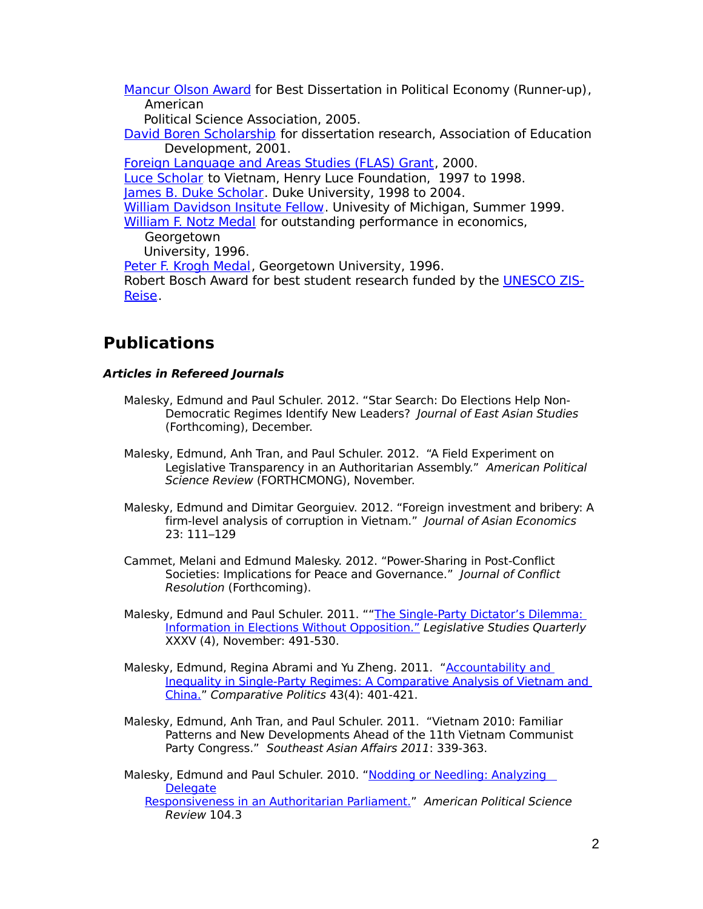Mancur Olson Award [for Best Dissertation in Political Economy \(Runner-up\)](http://www.apsanet.org/~polecon/awards.html), American

Political Science Association, 2005.

[David Boren Scholarship](http://www.borenawards.org/boren_fellowship) for dissertation research, Association of Education Development, 2001.

[Foreign Language and Areas Studies \(FLAS\) Grant](http://www.ed.gov/programs/iegpsflasf/index.html), 2000. [Luce Scholar](http://www.hluce.org/3scholfm.html) to Vietnam, Henry Luce Foundation, 1997 to 1998. [James B. Duke Scholar](http://www.duke.edu/web/Archives/history/duke_family.html). Duke University, 1998 to 2004. [William Davidson Insitute Fellow](http://www.wdi.umich.edu/Resources/StudentProjects). Univesity of Michigan, Summer 1999. [William F. Notz Medal](http://www.georgetown.edu/undergrad/bulletin/awards.html) for outstanding performance in economics, Georgetown University, 1996. [Peter F. Krogh Medal](http://www.georgetown.edu/undergrad/bulletin/awards.html), Georgetown University, 1996. Robert Bosch Award for best student research funded by the [UNESCO ZIS-](http://www.zis-reisen.de/)[Reise](http://www.zis-reisen.de/).

## **Publications**

## **Articles in Refereed Journals**

- Malesky, Edmund and Paul Schuler. 2012. "Star Search: Do Elections Help Non-Democratic Regimes Identify New Leaders? Journal of East Asian Studies (Forthcoming), December.
- Malesky, Edmund, Anh Tran, and Paul Schuler. 2012. "A Field Experiment on Legislative Transparency in an Authoritarian Assembly." American Political Science Review (FORTHCMONG), November.
- Malesky, Edmund and Dimitar Georguiev. 2012. "Foreign investment and bribery: A firm-level analysis of corruption in Vietnam." Journal of Asian Economics 23: 111–129
- Cammet, Melani and Edmund Malesky. 2012. "Power-Sharing in Post-Conflict Societies: Implications for Peace and Governance." Journal of Conflict Resolution (Forthcoming).
- Malesky, Edmund and Paul Schuler. 2011. "["The Single-Party Dictator's Dilemma:](http://papers.ssrn.com/sol3/papers.cfm?abstract_id=1669700)  [Information in Elections Without Opposition."](http://papers.ssrn.com/sol3/papers.cfm?abstract_id=1669700) Legislative Studies Quarterly XXXV (4), November: 491-530.
- Malesky, Edmund, Regina Abrami and Yu Zheng. 2011. "Accountability and [Inequality in Single-Party Regimes: A Comparative Analysis of Vietnam and](http://papers.ssrn.com/sol3/papers.cfm?abstract_id=1669708)  [China."](http://papers.ssrn.com/sol3/papers.cfm?abstract_id=1669708) Comparative Politics 43(4): 401-421.
- Malesky, Edmund, Anh Tran, and Paul Schuler. 2011. "Vietnam 2010: Familiar Patterns and New Developments Ahead of the 11th Vietnam Communist Party Congress." Southeast Asian Affairs 2011: 339-363.

Malesky, Edmund and Paul Schuler. 2010. ["Nodding or Needling: Analyzing](http://papers.ssrn.com/sol3/papers.cfm?abstract_id=1669709)  **[Delegate](http://papers.ssrn.com/sol3/papers.cfm?abstract_id=1669709)** [Responsiveness in an Authoritarian Parliament."](http://papers.ssrn.com/sol3/papers.cfm?abstract_id=1669709) American Political Science Review 104.3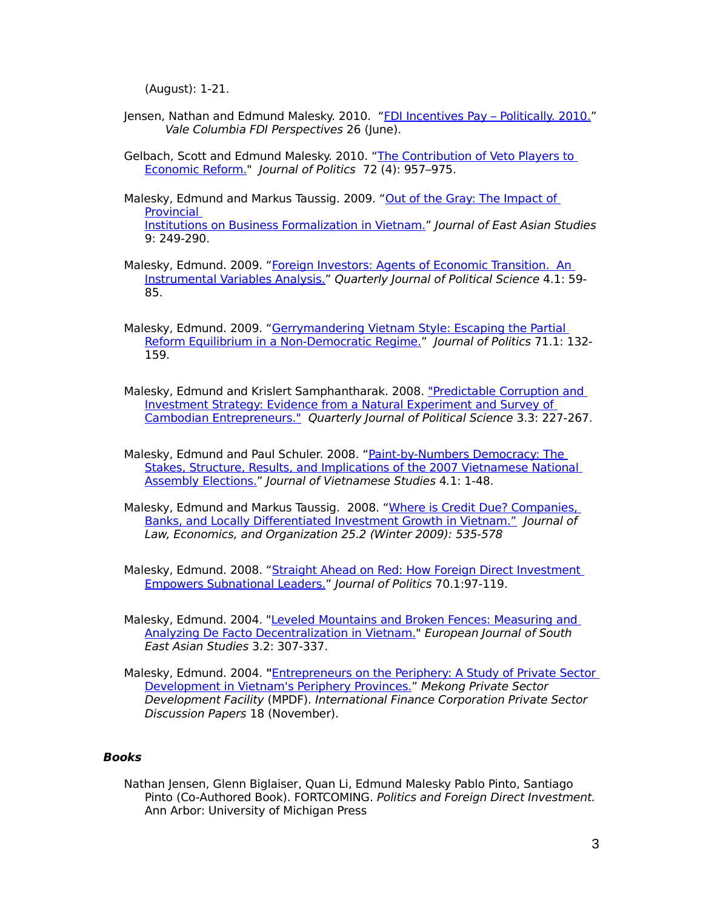(August): 1-21.

- Jensen, Nathan and Edmund Malesky. 2010. ["FDI Incentives Pay Politically. 2010."](http://papers.ssrn.com/sol3/papers.cfm?abstract_id=1669748) Vale Columbia FDI Perspectives 26 (June).
- Gelbach, Scott and Edmund Malesky. 2010. ["The Contribution of Veto Players to](http://papers.ssrn.com/sol3/papers.cfm?abstract_id=1315870)  [Economic Reform."](http://papers.ssrn.com/sol3/papers.cfm?abstract_id=1315870) Journal of Politics 72 (4): 957–975.
- Malesky, Edmund and Markus Taussig. 2009. "Out of the Gray: The Impact of [Provincial](http://papers.ssrn.com/sol3/papers.cfm?abstract_id=1669688)  [Institutions on Business Formalization in Vietnam."](http://papers.ssrn.com/sol3/papers.cfm?abstract_id=1669688) Journal of East Asian Studies 9: 249-290.
- Malesky, Edmund. 2009. "Foreign Investors: Agents of Economic Transition. An [Instrumental Variables Analysis."](http://papers.ssrn.com/sol3/papers.cfm?abstract_id=1669685) Quarterly Journal of Political Science 4.1: 59- 85.
- Malesky, Edmund. 2009. "Gerrymandering Vietnam Style: Escaping the Partial [Reform Equilibrium in a Non-Democratic Regime."](http://papers.ssrn.com/sol3/papers.cfm?abstract_id=1669616) Journal of Politics 71.1: 132-159.
- Malesky, Edmund and Krislert Samphantharak. 2008. ["Predictable Corruption and](http://papers.ssrn.com/sol3/papers.cfm?abstract_id=1669682)  [Investment Strategy: Evidence from a Natural Experiment and Survey of](http://papers.ssrn.com/sol3/papers.cfm?abstract_id=1669682)  [Cambodian Entrepreneurs."](http://papers.ssrn.com/sol3/papers.cfm?abstract_id=1669682) Quarterly Journal of Political Science 3.3: 227-267.
- Malesky, Edmund and Paul Schuler. 2008. ["Paint-by-Numbers Democracy: The](http://papers.ssrn.com/sol3/papers.cfm?abstract_id=1669690)  Stakes, Structure, Results, and Implications of the 2007 Vietnamese National [Assembly Elections."](http://papers.ssrn.com/sol3/papers.cfm?abstract_id=1669690) Journal of Vietnamese Studies 4.1: 1-48.
- Malesky, Edmund and Markus Taussig. 2008. ["Where is Credit Due? Companies,](http://papers.ssrn.com/sol3/papers.cfm?abstract_id=1476653)  [Banks, and Locally Differentiated Investment Growth in Vietnam."](http://papers.ssrn.com/sol3/papers.cfm?abstract_id=1476653) Journal of Law, Economics, and Organization 25.2 (Winter 2009): 535-578
- Malesky, Edmund. 2008. "Straight Ahead on Red: How Foreign Direct Investment [Empowers Subnational Leaders."](http://papers.ssrn.com/sol3/papers.cfm?abstract_id=1669607) Journal of Politics 70.1:97-119.
- Malesky, Edmund. 2004. ["Leveled Mountains and Broken Fences: Measuring and](http://papers.ssrn.com/sol3/papers.cfm?abstract_id=1669694)   [Analyzing De Facto Decentralization in Vietnam."](http://papers.ssrn.com/sol3/papers.cfm?abstract_id=1669694) European Journal of South East Asian Studies 3.2: 307-337.
- Malesky, Edmund. 2004. **"**[Entrepreneurs on the Periphery: A Study of Private Sector](http://www.ifc.org/ifcext/mekongpsdf.nsf/Content/PSDP18) [Development in Vietnam's Periphery Provinces."](http://www.ifc.org/ifcext/mekongpsdf.nsf/Content/PSDP18) Mekong Private Sector Development Facility (MPDF). International Finance Corporation Private Sector Discussion Papers 18 (November).

#### **Books**

Nathan Jensen, Glenn Biglaiser, Quan Li, Edmund Malesky Pablo Pinto, Santiago Pinto (Co-Authored Book). FORTCOMING. Politics and Foreign Direct Investment. Ann Arbor: University of Michigan Press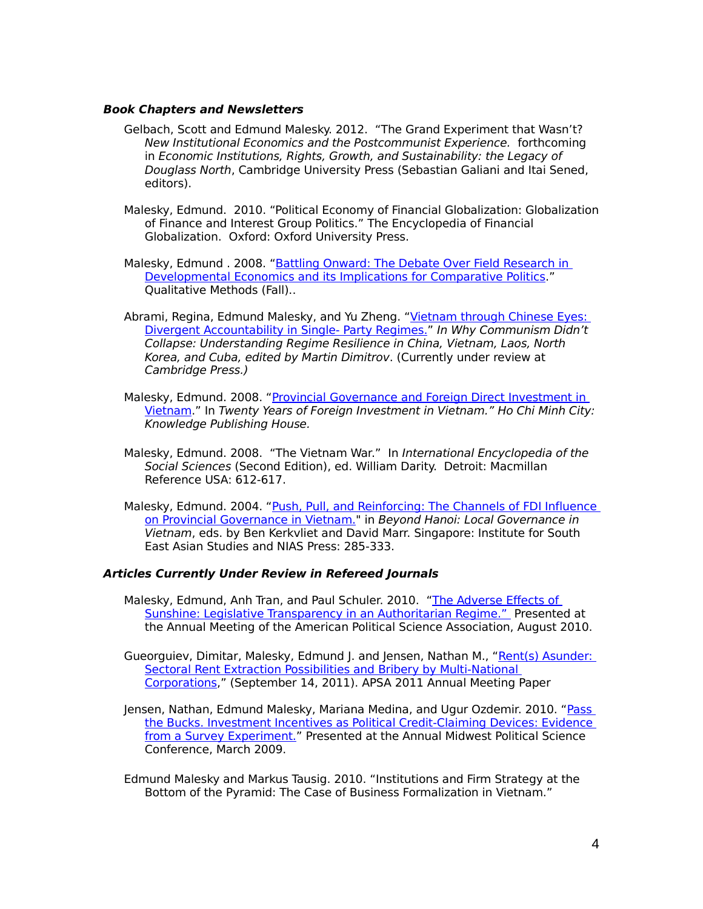#### **Book Chapters and Newsletters**

- Gelbach, Scott and Edmund Malesky. 2012. "The Grand Experiment that Wasn't? New Institutional Economics and the Postcommunist Experience. forthcoming in Economic Institutions, Rights, Growth, and Sustainability: the Legacy of Douglass North, Cambridge University Press (Sebastian Galiani and Itai Sened, editors).
- Malesky, Edmund. 2010. "Political Economy of Financial Globalization: Globalization of Finance and Interest Group Politics." The Encyclopedia of Financial Globalization. Oxford: Oxford University Press.
- Malesky, Edmund . 2008. ["Battling Onward: The Debate Over Field Research in](http://papers.ssrn.com/sol3/papers.cfm?abstract_id=1669745)  [Developmental Economics and its Implications for Comparative Politics.](http://papers.ssrn.com/sol3/papers.cfm?abstract_id=1669745)" Qualitative Methods (Fall)..
- Abrami, Regina, Edmund Malesky, and Yu Zheng. ["Vietnam through Chinese Eyes:](http://papers.ssrn.com/sol3/papers.cfm?abstract_id=1669712)  [Divergent Accountability in Single- Party Regimes."](http://papers.ssrn.com/sol3/papers.cfm?abstract_id=1669712) In Why Communism Didn't Collapse: Understanding Regime Resilience in China, Vietnam, Laos, North Korea, and Cuba, edited by Martin Dimitrov. (Currently under review at Cambridge Press.)
- Malesky, Edmund. 2008. ["Provincial Governance and Foreign Direct Investment in](http://papers.ssrn.com/sol3/papers.cfm?abstract_id=1669742)  [Vietnam.](http://papers.ssrn.com/sol3/papers.cfm?abstract_id=1669742)" In Twenty Years of Foreign Investment in Vietnam." Ho Chi Minh City: Knowledge Publishing House.
- Malesky, Edmund. 2008. "The Vietnam War." In International Encyclopedia of the Social Sciences (Second Edition), ed. William Darity. Detroit: Macmillan Reference USA: 612-617.
- Malesky, Edmund. 2004. ["Push, Pull, and Reinforcing: The Channels of FDI Influence](http://books.google.com/books?hl=en&id=597IH2sa2XUC&dq=beyond+hanoi&printsec=frontcover&source=web&ots=6RXXgW2_Xo&sig=7FRF90xZiY82T-fmjoYmrpa5SWI) [on Provincial Governance in Vietnam."](http://books.google.com/books?hl=en&id=597IH2sa2XUC&dq=beyond+hanoi&printsec=frontcover&source=web&ots=6RXXgW2_Xo&sig=7FRF90xZiY82T-fmjoYmrpa5SWI) in Beyond Hanoi: Local Governance in Vietnam, eds. by Ben Kerkvliet and David Marr. Singapore: Institute for South East Asian Studies and NIAS Press: 285-333.

#### **Articles Currently Under Review in Refereed Journals**

- Malesky, Edmund, Anh Tran, and Paul Schuler. 2010. "The Adverse Effects of [Sunshine: Legislative Transparency in an Authoritarian Regime."](http://papers.ssrn.com/sol3/papers.cfm?abstract_id=1642659) Presented at the Annual Meeting of the American Political Science Association, August 2010.
- Gueorguiev, Dimitar, Malesky, Edmund J. and Jensen, Nathan M., "Rent(s) Asunder: [Sectoral Rent Extraction Possibilities and Bribery by Multi-National](http://papers.ssrn.com/sol3/papers.cfm?abstract_id=1899731)  [Corporations,](http://papers.ssrn.com/sol3/papers.cfm?abstract_id=1899731)" (September 14, 2011). APSA 2011 Annual Meeting Paper
- Jensen, Nathan, Edmund Malesky, Mariana Medina, and Ugur Ozdemir. 2010. ["Pass](http://papers.ssrn.com/sol3/papers.cfm?abstract_id=1669771)  [the Bucks. Investment Incentives as Political Credit-Claiming Devices: Evidence](http://papers.ssrn.com/sol3/papers.cfm?abstract_id=1669771)  [from a Survey Experiment."](http://papers.ssrn.com/sol3/papers.cfm?abstract_id=1669771) Presented at the Annual Midwest Political Science Conference, March 2009.
- Edmund Malesky and Markus Tausig. 2010. "Institutions and Firm Strategy at the Bottom of the Pyramid: The Case of Business Formalization in Vietnam."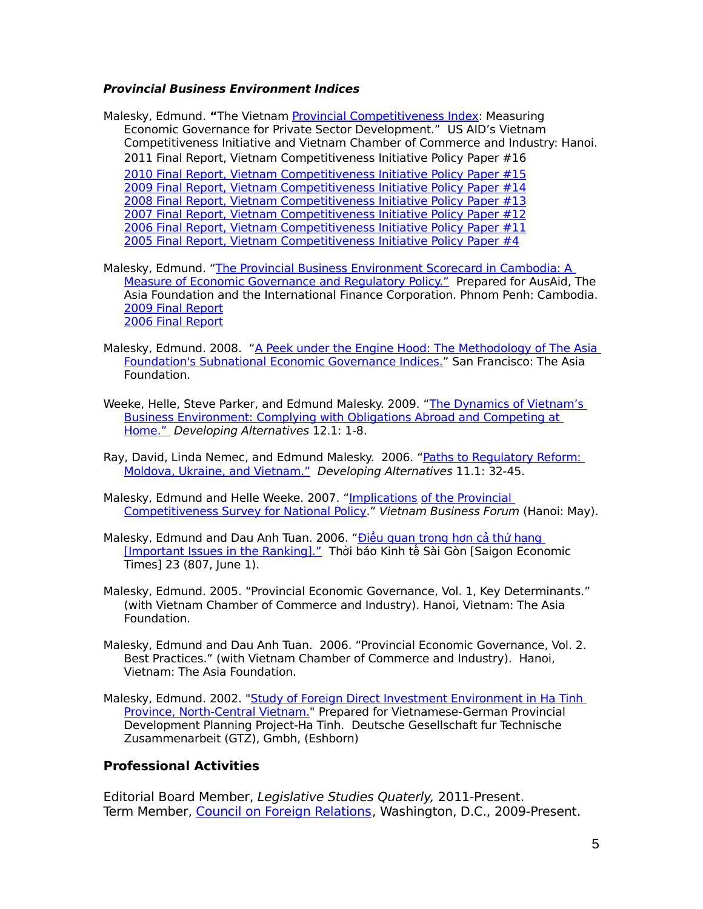#### **Provincial Business Environment Indices**

Malesky, Edmund. **"**The Vietnam [Provincial Competitiveness Index:](http://www.pcivietnam.org/reports.php) Measuring Economic Governance for Private Sector Development." US AID's Vietnam Competitiveness Initiative and Vietnam Chamber of Commerce and Industry: Hanoi. 2011 Final Report, Vietnam Competitiveness Initiative Policy Paper #16 [2010 Final Report, Vietnam Competitiveness Initiative Policy Paper #15](http://www.pcivietnam.org/reports_home.php) [2009 Final Report, Vietnam Competitiveness Initiative Policy Paper #14](http://papers.ssrn.com/sol3/papers.cfm?abstract_id=1669719) [2008 Final Report, Vietnam Competitiveness Initiative Policy Paper #13](http://papers.ssrn.com/sol3/papers.cfm?abstract_id=1669718) [2007 Final Report, Vietnam Competitiveness Initiative Policy Paper #12](http://ssrn.com/abstract=1669717) [2006 Final Report, Vietnam Competitiveness Initiative Policy Paper #11](http://papers.ssrn.com/sol3/papers.cfm?abstract_id=1669715) [2005 Final Report, Vietnam Competitiveness Initiative Policy Paper #4](http://papers.ssrn.com/sol3/papers.cfm?abstract_id=1669713)

Malesky, Edmund. ["The Provincial Business Environment Scorecard in Cambodia: A](http://www.asiafoundation.org/pdf/CB_PBES-tech-eng.pdf)  [Measure of Economic Governance and Regulatory Policy."](http://www.asiafoundation.org/pdf/CB_PBES-tech-eng.pdf) Prepared for AusAid, The Asia Foundation and the International Finance Corporation. Phnom Penh: Cambodia. [2009 Final Report](http://papers.ssrn.com/sol3/papers.cfm?abstract_id=1669721) [2006 Final Report](http://papers.ssrn.com/sol3/papers.cfm?abstract_id=1669720)

- Malesky, Edmund. 2008. ["A Peek under the Engine Hood: The Methodology of The Asia](http://asiafoundation.org/publications/pdf/309) [Foundation's Subnational Economic Governance Indices."](http://asiafoundation.org/publications/pdf/309) San Francisco: The Asia Foundation.
- Weeke, Helle, Steve Parker, and Edmund Malesky. 2009. "The Dynamics of Vietnam's [Business Environment: Complying with Obligations Abroad and Competing at](http://www.dai.com/pdf/developing_alternatives/Dev_Alts_Grounds_for_Growth.pdf)  [Home."](http://www.dai.com/pdf/developing_alternatives/Dev_Alts_Grounds_for_Growth.pdf) Developing Alternatives 12.1: 1-8.
- Ray, David, Linda Nemec, and Edmund Malesky. 2006. "Paths to Regulatory Reform: [Moldova, Ukraine, and Vietnam."](http://www.dai.com/pdf/developing_alternatives/spring_2006_DA.pdf) Developing Alternatives 11.1: 32-45.
- Malesky, Edmund and Helle Weeke. 2007. ["Implications](http://www.hca.org.vn/tin_tuc/vde_qtam/nam2007/thang6/DDDN_Vietnam/Bai_8.pdf) of the Provincial [Competitiveness Survey for National Policy.](http://www.hca.org.vn/tin_tuc/vde_qtam/nam2007/thang6/DDDN_Vietnam/Bai_8.pdf)" Vietnam Business Forum (Hanoi: May).
- Malesky, Edmund and Dau Anh Tuan. 2006. "Điều quan trọng hơn cả thứ hạng [\[Important Issues in the Ranking\]."](http://www.fetp.edu.vn/exed/2007/quangnam/Docs/pci_2006.pdf) Thời báo Kinh tế Sài Gòn [Saigon Economic Times] 23 (807, June 1).
- Malesky, Edmund. 2005. "Provincial Economic Governance, Vol. 1, Key Determinants." (with Vietnam Chamber of Commerce and Industry). Hanoi, Vietnam: The Asia Foundation.
- Malesky, Edmund and Dau Anh Tuan. 2006. "Provincial Economic Governance, Vol. 2. Best Practices." (with Vietnam Chamber of Commerce and Industry). Hanoi, Vietnam: The Asia Foundation.
- Malesky, Edmund. 2002. ["Study of Foreign Direct Investment Environment in Ha Tinh](http://irps.ucsd.edu/assets/003/5285.pdf)  [Province, North-Central Vietnam."](http://irps.ucsd.edu/assets/003/5285.pdf) Prepared for Vietnamese-German Provincial Development Planning Project-Ha Tinh. Deutsche Gesellschaft fur Technische Zusammenarbeit (GTZ), Gmbh, (Eshborn)

### **Professional Activities**

Editorial Board Member, Legislative Studies Quaterly, 2011-Present. Term Member, [Council on Foreign Relations](http://www.cfr.org/), Washington, D.C., 2009-Present.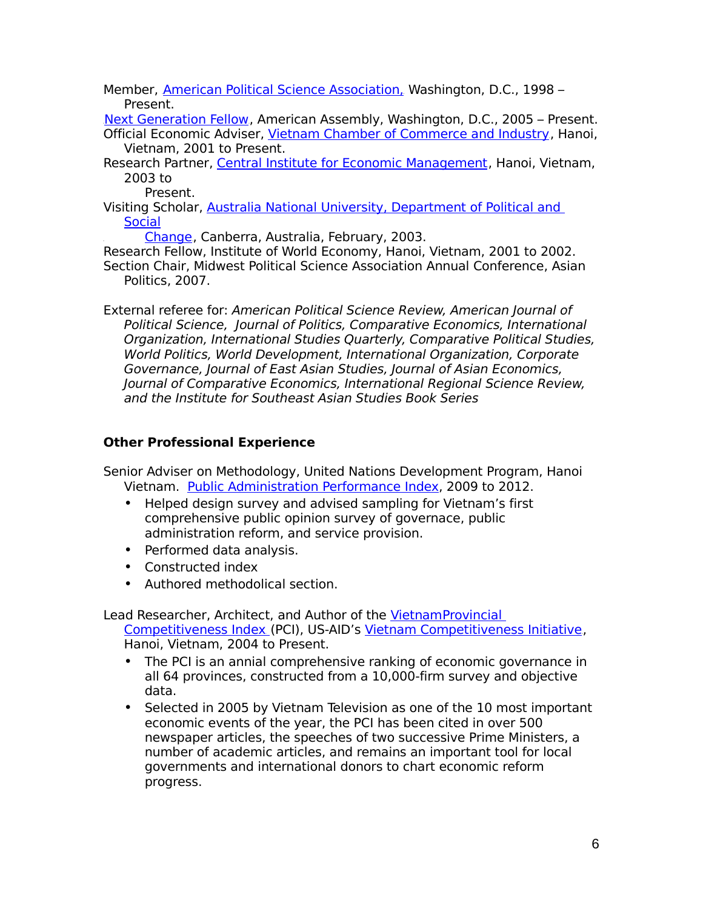Member, [American Political Science Association,](http://www.apsanet.org/) Washington, D.C., 1998 – Present.

[Next Generation Fellow](http://www.nextgenerationproject.org/), American Assembly, Washington, D.C., 2005 – Present. Official Economic Adviser, [Vietnam Chamber of Commerce and Industry](http://www.vcci.com.vn/), Hanoi, Vietnam, 2001 to Present.

Research Partner, [Central Institute for Economic Management](http://www.ciem.org.vn/), Hanoi, Vietnam, 2003 to

Present.

Visiting Scholar, [Australia National University, Department of Political and](http://rspas.anu.edu.au/polsoc/visitors.php)  **[Social](http://rspas.anu.edu.au/polsoc/visitors.php)** 

[Change](http://rspas.anu.edu.au/polsoc/visitors.php), Canberra, Australia, February, 2003.

Research Fellow, Institute of World Economy, Hanoi, Vietnam, 2001 to 2002. Section Chair, Midwest Political Science Association Annual Conference, Asian Politics, 2007.

External referee for: American Political Science Review, American Journal of Political Science, Journal of Politics, Comparative Economics, International Organization, International Studies Quarterly, Comparative Political Studies, World Politics, World Development, International Organization, Corporate Governance, Journal of East Asian Studies, Journal of Asian Economics, Journal of Comparative Economics, International Regional Science Review, and the Institute for Southeast Asian Studies Book Series

## **Other Professional Experience**

Senior Adviser on Methodology, United Nations Development Program, Hanoi Vietnam. [Public Administration Performance Index,](http://www.papi.vn/node/93) 2009 to 2012.

- Helped design survey and advised sampling for Vietnam's first comprehensive public opinion survey of governace, public administration reform, and service provision.
- Performed data analysis.
- Constructed index
- Authored methodolical section.

Lead Researcher, Architect, and Author of the Vietnam Provincial

[Competitiveness Index](http://www.pcivietnam.org/index.php?lang=en) (PCI), US-AID's [Vietnam Competitiveness Initiative](http://www.vnci.org/?act=News), Hanoi, Vietnam, 2004 to Present.

- The PCI is an annial comprehensive ranking of economic governance in all 64 provinces, constructed from a 10,000-firm survey and objective data.
- Selected in 2005 by Vietnam Television as one of the 10 most important economic events of the year, the PCI has been cited in over 500 newspaper articles, the speeches of two successive Prime Ministers, a number of academic articles, and remains an important tool for local governments and international donors to chart economic reform progress.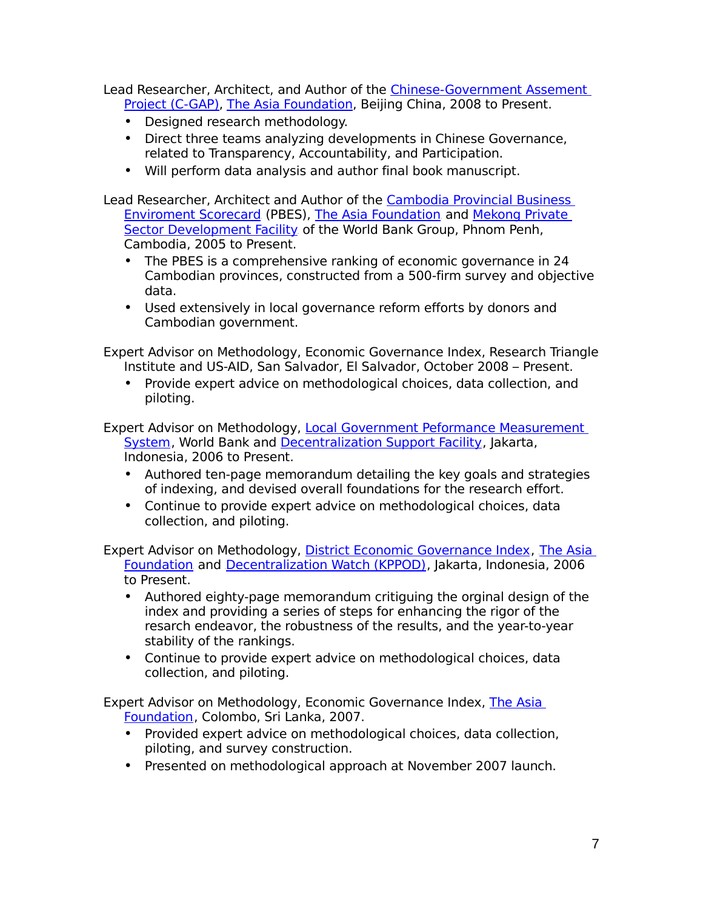Lead Researcher, Architect, and Author of the [Chinese -Government Assement](http://www.asiafoundation.org/news/?p=3068)  [Project \(C-GAP\),](http://www.asiafoundation.org/news/?p=3068) [The Asia Foundation,](http://www.asiafoundation.org/index.php) Beijing China, 2008 to Present.

- Designed research methodology.
- Direct three teams analyzing developments in Chinese Governance, related to Transparency, Accountability, and Participation.
- Will perform data analysis and author final book manuscript.

Lead Researcher, Architect and Author of the [Cambodia Provincial Business](http://www.ifc.org/ifcext/mekongpsdf.nsf/AttachmentsByTitle/bib-cam-18-eng/$FILE/BIB-18-CAM-ENG.pdf)  [Enviroment Scorecard](http://www.ifc.org/ifcext/mekongpsdf.nsf/AttachmentsByTitle/bib-cam-18-eng/$FILE/BIB-18-CAM-ENG.pdf) (PBES), [The Asia Foundation](http://www.asiafoundation.org/) and Mekong Private [Sector Development Facility](http://www.ifc.org/mpdf) of the World Bank Group, Phnom Penh, Cambodia, 2005 to Present.

- The PBES is a comprehensive ranking of economic governance in 24 Cambodian provinces, constructed from a 500-firm survey and objective data.
- Used extensively in local governance reform efforts by donors and Cambodian government.

Expert Advisor on Methodology, Economic Governance Index, Research Triangle Institute and US-AID, San Salvador, El Salvador, October 2008 – Present.

• Provide expert advice on methodological choices, data collection, and piloting.

Expert Advisor on Methodology, Local Government Peformance Measurement [System](http://www.adb.org/Documents/PIDs/39371012.asp), World Bank and [Decentralization Support Facility](http://www.dsfindonesia.org/), Jakarta, Indonesia, 2006 to Present.

- Authored ten-page memorandum detailing the key goals and strategies of indexing, and devised overall foundations for the research effort.
- Continue to provide expert advice on methodological choices, data collection, and piloting.

Expert Advisor on Methodology, [District Economic Governance Index](http://www.asiafoundation.org/pdf/ID_KPPOD-eng.pdf), The Asia [Foundation](http://www.asiafoundation.org/) and [Decentralization Watch \(KPPOD\)](http://www.kppod.org/), Jakarta, Indonesia, 2006 to Present.

- Authored eighty-page memorandum critiguing the orginal design of the index and providing a series of steps for enhancing the rigor of the resarch endeavor, the robustness of the results, and the year-to-year stability of the rankings.
- Continue to provide expert advice on methodological choices, data collection, and piloting.

Expert Advisor on Methodology, Economic Governance Index, [The Asia](http://www.asiafoundation.org/)  [Foundation](http://www.asiafoundation.org/), Colombo, Sri Lanka, 2007.

- Provided expert advice on methodological choices, data collection, piloting, and survey construction.
- Presented on methodological approach at November 2007 launch.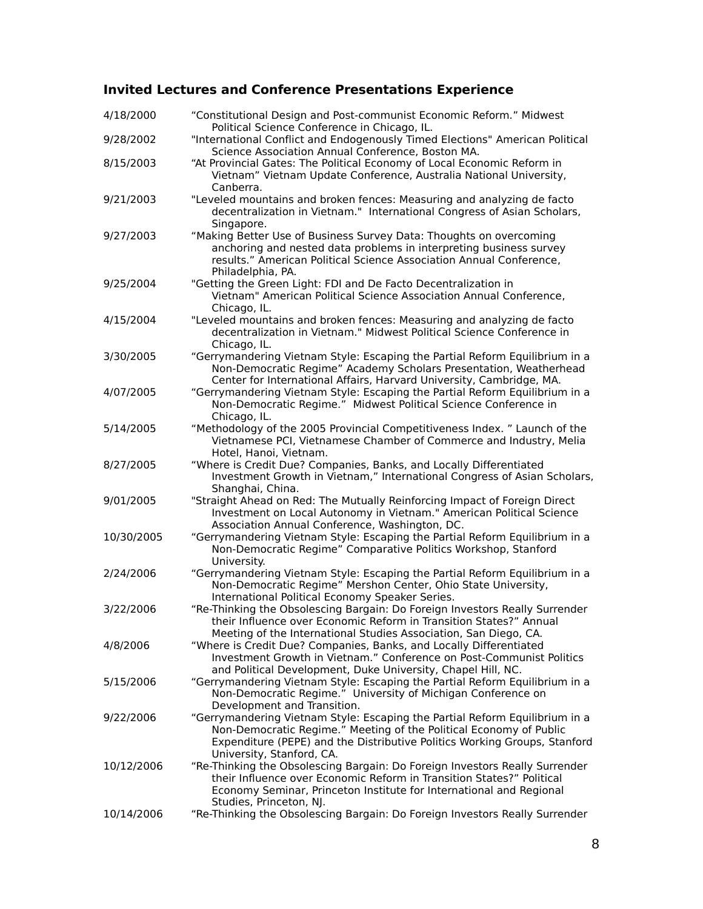# **Invited Lectures and Conference Presentations Experience**

| 4/18/2000  | "Constitutional Design and Post-communist Economic Reform." Midwest<br>Political Science Conference in Chicago, IL.                                                                                                                                         |
|------------|-------------------------------------------------------------------------------------------------------------------------------------------------------------------------------------------------------------------------------------------------------------|
| 9/28/2002  | "International Conflict and Endogenously Timed Elections" American Political<br>Science Association Annual Conference, Boston MA.                                                                                                                           |
| 8/15/2003  | "At Provincial Gates: The Political Economy of Local Economic Reform in<br>Vietnam" Vietnam Update Conference, Australia National University,<br>Canberra.                                                                                                  |
| 9/21/2003  | "Leveled mountains and broken fences: Measuring and analyzing de facto<br>decentralization in Vietnam." International Congress of Asian Scholars,<br>Singapore.                                                                                             |
| 9/27/2003  | "Making Better Use of Business Survey Data: Thoughts on overcoming<br>anchoring and nested data problems in interpreting business survey<br>results." American Political Science Association Annual Conference,<br>Philadelphia, PA.                        |
| 9/25/2004  | "Getting the Green Light: FDI and De Facto Decentralization in<br>Vietnam" American Political Science Association Annual Conference,<br>Chicago, IL.                                                                                                        |
| 4/15/2004  | "Leveled mountains and broken fences: Measuring and analyzing de facto<br>decentralization in Vietnam." Midwest Political Science Conference in<br>Chicago, IL.                                                                                             |
| 3/30/2005  | "Gerrymandering Vietnam Style: Escaping the Partial Reform Equilibrium in a<br>Non-Democratic Regime" Academy Scholars Presentation, Weatherhead<br>Center for International Affairs, Harvard University, Cambridge, MA.                                    |
| 4/07/2005  | "Gerrymandering Vietnam Style: Escaping the Partial Reform Equilibrium in a<br>Non-Democratic Regime." Midwest Political Science Conference in<br>Chicago, IL.                                                                                              |
| 5/14/2005  | "Methodology of the 2005 Provincial Competitiveness Index. " Launch of the<br>Vietnamese PCI, Vietnamese Chamber of Commerce and Industry, Melia<br>Hotel, Hanoi, Vietnam.                                                                                  |
| 8/27/2005  | "Where is Credit Due? Companies, Banks, and Locally Differentiated<br>Investment Growth in Vietnam," International Congress of Asian Scholars,<br>Shanghai, China.                                                                                          |
| 9/01/2005  | "Straight Ahead on Red: The Mutually Reinforcing Impact of Foreign Direct<br>Investment on Local Autonomy in Vietnam." American Political Science<br>Association Annual Conference, Washington, DC.                                                         |
| 10/30/2005 | "Gerrymandering Vietnam Style: Escaping the Partial Reform Equilibrium in a<br>Non-Democratic Regime" Comparative Politics Workshop, Stanford<br>University.                                                                                                |
| 2/24/2006  | "Gerrymandering Vietnam Style: Escaping the Partial Reform Equilibrium in a<br>Non-Democratic Regime" Mershon Center, Ohio State University,<br>International Political Economy Speaker Series.                                                             |
| 3/22/2006  | "Re-Thinking the Obsolescing Bargain: Do Foreign Investors Really Surrender<br>their Influence over Economic Reform in Transition States?" Annual<br>Meeting of the International Studies Association, San Diego, CA.                                       |
| 4/8/2006   | "Where is Credit Due? Companies, Banks, and Locally Differentiated<br>Investment Growth in Vietnam." Conference on Post-Communist Politics<br>and Political Development, Duke University, Chapel Hill, NC.                                                  |
| 5/15/2006  | "Gerrymandering Vietnam Style: Escaping the Partial Reform Equilibrium in a<br>Non-Democratic Regime." University of Michigan Conference on<br>Development and Transition.                                                                                  |
| 9/22/2006  | "Gerrymandering Vietnam Style: Escaping the Partial Reform Equilibrium in a<br>Non-Democratic Regime." Meeting of the Political Economy of Public<br>Expenditure (PEPE) and the Distributive Politics Working Groups, Stanford<br>University, Stanford, CA. |
| 10/12/2006 | "Re-Thinking the Obsolescing Bargain: Do Foreign Investors Really Surrender<br>their Influence over Economic Reform in Transition States?" Political<br>Economy Seminar, Princeton Institute for International and Regional<br>Studies, Princeton, NJ.      |
| 10/14/2006 | "Re-Thinking the Obsolescing Bargain: Do Foreign Investors Really Surrender                                                                                                                                                                                 |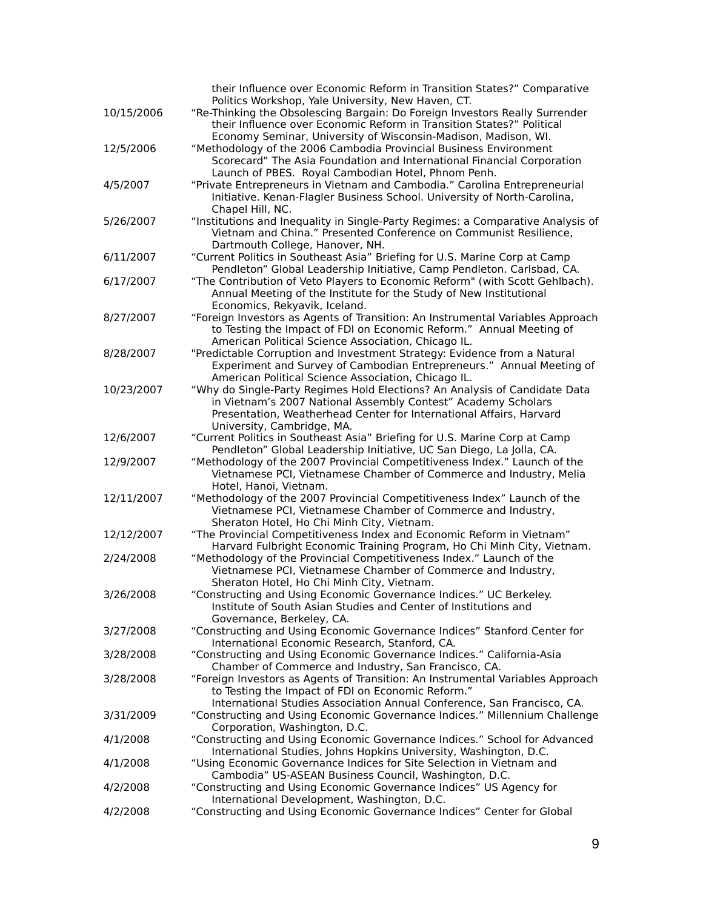|            | their Influence over Economic Reform in Transition States?" Comparative                                               |
|------------|-----------------------------------------------------------------------------------------------------------------------|
|            | Politics Workshop, Yale University, New Haven, CT.                                                                    |
| 10/15/2006 | "Re-Thinking the Obsolescing Bargain: Do Foreign Investors Really Surrender                                           |
|            | their Influence over Economic Reform in Transition States?" Political                                                 |
|            | Economy Seminar, University of Wisconsin-Madison, Madison, WI.                                                        |
| 12/5/2006  | "Methodology of the 2006 Cambodia Provincial Business Environment                                                     |
|            | Scorecard" The Asia Foundation and International Financial Corporation                                                |
|            | Launch of PBES. Royal Cambodian Hotel, Phnom Penh.                                                                    |
| 4/5/2007   | "Private Entrepreneurs in Vietnam and Cambodia." Carolina Entrepreneurial                                             |
|            | Initiative. Kenan-Flagler Business School. University of North-Carolina,                                              |
|            | Chapel Hill, NC.                                                                                                      |
| 5/26/2007  | "Institutions and Inequality in Single-Party Regimes: a Comparative Analysis of                                       |
|            | Vietnam and China." Presented Conference on Communist Resilience,                                                     |
|            | Dartmouth College, Hanover, NH.                                                                                       |
| 6/11/2007  | "Current Politics in Southeast Asia" Briefing for U.S. Marine Corp at Camp                                            |
|            | Pendleton" Global Leadership Initiative, Camp Pendleton. Carlsbad, CA.                                                |
| 6/17/2007  | "The Contribution of Veto Players to Economic Reform" (with Scott Gehlbach).                                          |
|            | Annual Meeting of the Institute for the Study of New Institutional                                                    |
|            | Economics, Rekyavik, Iceland.                                                                                         |
| 8/27/2007  | "Foreign Investors as Agents of Transition: An Instrumental Variables Approach                                        |
|            | to Testing the Impact of FDI on Economic Reform." Annual Meeting of                                                   |
|            | American Political Science Association, Chicago IL.                                                                   |
| 8/28/2007  | "Predictable Corruption and Investment Strategy: Evidence from a Natural                                              |
|            | Experiment and Survey of Cambodian Entrepreneurs." Annual Meeting of                                                  |
|            | American Political Science Association, Chicago IL.                                                                   |
| 10/23/2007 | "Why do Single-Party Regimes Hold Elections? An Analysis of Candidate Data                                            |
|            | in Vietnam's 2007 National Assembly Contest" Academy Scholars                                                         |
|            | Presentation, Weatherhead Center for International Affairs, Harvard                                                   |
|            | University, Cambridge, MA.                                                                                            |
| 12/6/2007  | "Current Politics in Southeast Asia" Briefing for U.S. Marine Corp at Camp                                            |
|            | Pendleton" Global Leadership Initiative, UC San Diego, La Jolla, CA.                                                  |
| 12/9/2007  | "Methodology of the 2007 Provincial Competitiveness Index." Launch of the                                             |
|            | Vietnamese PCI, Vietnamese Chamber of Commerce and Industry, Melia                                                    |
|            | Hotel, Hanoi, Vietnam.                                                                                                |
| 12/11/2007 | "Methodology of the 2007 Provincial Competitiveness Index" Launch of the                                              |
|            | Vietnamese PCI, Vietnamese Chamber of Commerce and Industry,                                                          |
|            | Sheraton Hotel, Ho Chi Minh City, Vietnam.                                                                            |
| 12/12/2007 | "The Provincial Competitiveness Index and Economic Reform in Vietnam"                                                 |
|            | Harvard Fulbright Economic Training Program, Ho Chi Minh City, Vietnam.                                               |
| 2/24/2008  | "Methodology of the Provincial Competitiveness Index." Launch of the                                                  |
|            | Vietnamese PCI, Vietnamese Chamber of Commerce and Industry,                                                          |
|            | Sheraton Hotel, Ho Chi Minh City, Vietnam.                                                                            |
| 3/26/2008  | "Constructing and Using Economic Governance Indices." UC Berkeley.                                                    |
|            | Institute of South Asian Studies and Center of Institutions and                                                       |
|            | Governance, Berkeley, CA.                                                                                             |
| 3/27/2008  | "Constructing and Using Economic Governance Indices" Stanford Center for                                              |
|            | International Economic Research, Stanford, CA.                                                                        |
| 3/28/2008  | "Constructing and Using Economic Governance Indices." California-Asia                                                 |
|            | Chamber of Commerce and Industry, San Francisco, CA.                                                                  |
| 3/28/2008  | "Foreign Investors as Agents of Transition: An Instrumental Variables Approach                                        |
|            | to Testing the Impact of FDI on Economic Reform."                                                                     |
|            | International Studies Association Annual Conference, San Francisco, CA.                                               |
| 3/31/2009  | "Constructing and Using Economic Governance Indices." Millennium Challenge                                            |
| 4/1/2008   | Corporation, Washington, D.C.                                                                                         |
|            | "Constructing and Using Economic Governance Indices." School for Advanced                                             |
|            | International Studies, Johns Hopkins University, Washington, D.C.                                                     |
| 4/1/2008   | "Using Economic Governance Indices for Site Selection in Vietnam and                                                  |
|            | Cambodia" US-ASEAN Business Council, Washington, D.C.                                                                 |
| 4/2/2008   | "Constructing and Using Economic Governance Indices" US Agency for                                                    |
| 4/2/2008   | International Development, Washington, D.C.<br>"Constructing and Using Economic Governance Indices" Center for Global |
|            |                                                                                                                       |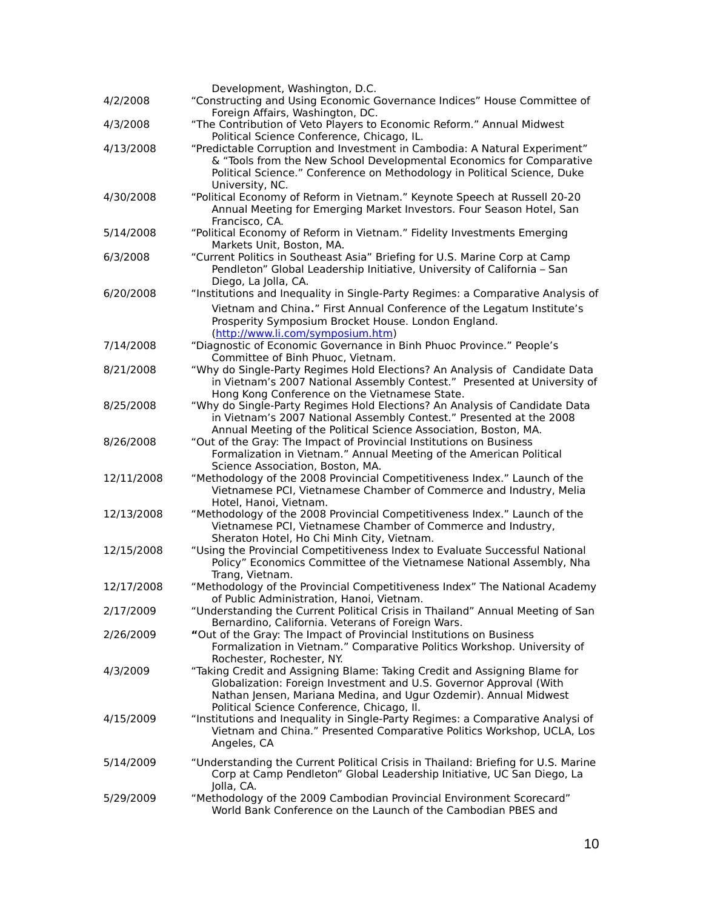|            | Development, Washington, D.C.                                                                                                                                                                                                                                     |
|------------|-------------------------------------------------------------------------------------------------------------------------------------------------------------------------------------------------------------------------------------------------------------------|
| 4/2/2008   | "Constructing and Using Economic Governance Indices" House Committee of<br>Foreign Affairs, Washington, DC.                                                                                                                                                       |
| 4/3/2008   | "The Contribution of Veto Players to Economic Reform." Annual Midwest<br>Political Science Conference, Chicago, IL.                                                                                                                                               |
| 4/13/2008  | "Predictable Corruption and Investment in Cambodia: A Natural Experiment"<br>& "Tools from the New School Developmental Economics for Comparative<br>Political Science." Conference on Methodology in Political Science, Duke<br>University, NC.                  |
| 4/30/2008  | "Political Economy of Reform in Vietnam." Keynote Speech at Russell 20-20<br>Annual Meeting for Emerging Market Investors. Four Season Hotel, San<br>Francisco, CA.                                                                                               |
| 5/14/2008  | "Political Economy of Reform in Vietnam." Fidelity Investments Emerging<br>Markets Unit, Boston, MA.                                                                                                                                                              |
| 6/3/2008   | "Current Politics in Southeast Asia" Briefing for U.S. Marine Corp at Camp<br>Pendleton" Global Leadership Initiative, University of California - San<br>Diego, La Jolla, CA.                                                                                     |
| 6/20/2008  | "Institutions and Inequality in Single-Party Regimes: a Comparative Analysis of                                                                                                                                                                                   |
|            | Vietnam and China." First Annual Conference of the Legatum Institute's<br>Prosperity Symposium Brocket House. London England.<br>(http://www.li.com/symposium.htm)                                                                                                |
| 7/14/2008  | "Diagnostic of Economic Governance in Binh Phuoc Province." People's<br>Committee of Binh Phuoc, Vietnam.                                                                                                                                                         |
| 8/21/2008  | "Why do Single-Party Regimes Hold Elections? An Analysis of Candidate Data<br>in Vietnam's 2007 National Assembly Contest." Presented at University of<br>Hong Kong Conference on the Vietnamese State.                                                           |
| 8/25/2008  | "Why do Single-Party Regimes Hold Elections? An Analysis of Candidate Data<br>in Vietnam's 2007 National Assembly Contest." Presented at the 2008<br>Annual Meeting of the Political Science Association, Boston, MA.                                             |
| 8/26/2008  | "Out of the Gray: The Impact of Provincial Institutions on Business<br>Formalization in Vietnam." Annual Meeting of the American Political<br>Science Association, Boston, MA.                                                                                    |
| 12/11/2008 | "Methodology of the 2008 Provincial Competitiveness Index." Launch of the<br>Vietnamese PCI, Vietnamese Chamber of Commerce and Industry, Melia<br>Hotel, Hanoi, Vietnam.                                                                                         |
| 12/13/2008 | "Methodology of the 2008 Provincial Competitiveness Index." Launch of the<br>Vietnamese PCI, Vietnamese Chamber of Commerce and Industry,<br>Sheraton Hotel, Ho Chi Minh City, Vietnam.                                                                           |
| 12/15/2008 | "Using the Provincial Competitiveness Index to Evaluate Successful National<br>Policy" Economics Committee of the Vietnamese National Assembly, Nha<br>Trang, Vietnam.                                                                                            |
| 12/17/2008 | "Methodology of the Provincial Competitiveness Index" The National Academy<br>of Public Administration, Hanoi, Vietnam.                                                                                                                                           |
| 2/17/2009  | "Understanding the Current Political Crisis in Thailand" Annual Meeting of San<br>Bernardino, California. Veterans of Foreign Wars.                                                                                                                               |
| 2/26/2009  | "Out of the Gray: The Impact of Provincial Institutions on Business<br>Formalization in Vietnam." Comparative Politics Workshop. University of<br>Rochester, Rochester, NY.                                                                                       |
| 4/3/2009   | "Taking Credit and Assigning Blame: Taking Credit and Assigning Blame for<br>Globalization: Foreign Investment and U.S. Governor Approval (With<br>Nathan Jensen, Mariana Medina, and Ugur Ozdemir). Annual Midwest<br>Political Science Conference, Chicago, Il. |
| 4/15/2009  | "Institutions and Inequality in Single-Party Regimes: a Comparative Analysi of<br>Vietnam and China." Presented Comparative Politics Workshop, UCLA, Los<br>Angeles, CA                                                                                           |
| 5/14/2009  | "Understanding the Current Political Crisis in Thailand: Briefing for U.S. Marine<br>Corp at Camp Pendleton" Global Leadership Initiative, UC San Diego, La<br>Jolla, CA.                                                                                         |
| 5/29/2009  | "Methodology of the 2009 Cambodian Provincial Environment Scorecard"<br>World Bank Conference on the Launch of the Cambodian PBES and                                                                                                                             |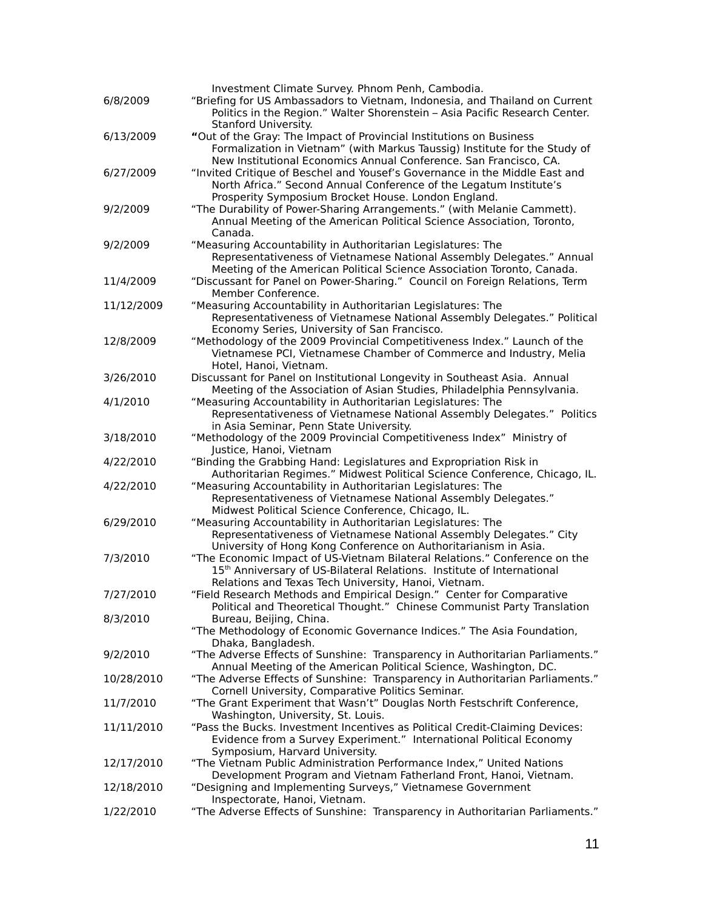| 6/8/2009   | Investment Climate Survey. Phnom Penh, Cambodia.<br>"Briefing for US Ambassadors to Vietnam, Indonesia, and Thailand on Current                              |
|------------|--------------------------------------------------------------------------------------------------------------------------------------------------------------|
|            | Politics in the Region." Walter Shorenstein - Asia Pacific Research Center.                                                                                  |
| 6/13/2009  | Stanford University.<br>"Out of the Gray: The Impact of Provincial Institutions on Business                                                                  |
|            | Formalization in Vietnam" (with Markus Taussig) Institute for the Study of<br>New Institutional Economics Annual Conference. San Francisco, CA.              |
| 6/27/2009  | "Invited Critique of Beschel and Yousef's Governance in the Middle East and                                                                                  |
|            | North Africa." Second Annual Conference of the Legatum Institute's                                                                                           |
|            | Prosperity Symposium Brocket House. London England.                                                                                                          |
| 9/2/2009   | "The Durability of Power-Sharing Arrangements." (with Melanie Cammett).<br>Annual Meeting of the American Political Science Association, Toronto,<br>Canada. |
| 9/2/2009   | "Measuring Accountability in Authoritarian Legislatures: The                                                                                                 |
|            | Representativeness of Vietnamese National Assembly Delegates." Annual<br>Meeting of the American Political Science Association Toronto, Canada.              |
| 11/4/2009  | "Discussant for Panel on Power-Sharing." Council on Foreign Relations, Term                                                                                  |
|            | Member Conference.                                                                                                                                           |
| 11/12/2009 | "Measuring Accountability in Authoritarian Legislatures: The                                                                                                 |
|            | Representativeness of Vietnamese National Assembly Delegates." Political                                                                                     |
|            | Economy Series, University of San Francisco.                                                                                                                 |
| 12/8/2009  | "Methodology of the 2009 Provincial Competitiveness Index." Launch of the                                                                                    |
|            | Vietnamese PCI, Vietnamese Chamber of Commerce and Industry, Melia                                                                                           |
|            | Hotel, Hanoi, Vietnam.                                                                                                                                       |
| 3/26/2010  | Discussant for Panel on Institutional Longevity in Southeast Asia. Annual<br>Meeting of the Association of Asian Studies, Philadelphia Pennsylvania.         |
| 4/1/2010   | "Measuring Accountability in Authoritarian Legislatures: The                                                                                                 |
|            | Representativeness of Vietnamese National Assembly Delegates." Politics                                                                                      |
|            | in Asia Seminar, Penn State University.                                                                                                                      |
| 3/18/2010  | "Methodology of the 2009 Provincial Competitiveness Index" Ministry of                                                                                       |
|            | Justice, Hanoi, Vietnam                                                                                                                                      |
| 4/22/2010  | "Binding the Grabbing Hand: Legislatures and Expropriation Risk in                                                                                           |
|            | Authoritarian Regimes." Midwest Political Science Conference, Chicago, IL.                                                                                   |
| 4/22/2010  | "Measuring Accountability in Authoritarian Legislatures: The                                                                                                 |
|            | Representativeness of Vietnamese National Assembly Delegates."                                                                                               |
|            | Midwest Political Science Conference, Chicago, IL.                                                                                                           |
| 6/29/2010  | "Measuring Accountability in Authoritarian Legislatures: The<br>Representativeness of Vietnamese National Assembly Delegates." City                          |
|            | University of Hong Kong Conference on Authoritarianism in Asia.                                                                                              |
| 7/3/2010   | "The Economic Impact of US-Vietnam Bilateral Relations." Conference on the                                                                                   |
|            | 15 <sup>th</sup> Anniversary of US-Bilateral Relations. Institute of International                                                                           |
|            | Relations and Texas Tech University, Hanoi, Vietnam.                                                                                                         |
| 7/27/2010  | "Field Research Methods and Empirical Design." Center for Comparative                                                                                        |
|            | Political and Theoretical Thought." Chinese Communist Party Translation                                                                                      |
| 8/3/2010   | Bureau, Beijing, China.                                                                                                                                      |
|            | "The Methodology of Economic Governance Indices." The Asia Foundation,                                                                                       |
|            | Dhaka, Bangladesh.                                                                                                                                           |
| 9/2/2010   | "The Adverse Effects of Sunshine: Transparency in Authoritarian Parliaments."                                                                                |
| 10/28/2010 | Annual Meeting of the American Political Science, Washington, DC.<br>"The Adverse Effects of Sunshine: Transparency in Authoritarian Parliaments."           |
|            | Cornell University, Comparative Politics Seminar.                                                                                                            |
| 11/7/2010  | "The Grant Experiment that Wasn't" Douglas North Festschrift Conference,                                                                                     |
|            | Washington, University, St. Louis.                                                                                                                           |
| 11/11/2010 | "Pass the Bucks. Investment Incentives as Political Credit-Claiming Devices:                                                                                 |
|            | Evidence from a Survey Experiment." International Political Economy                                                                                          |
|            | Symposium, Harvard University.                                                                                                                               |
| 12/17/2010 | "The Vietnam Public Administration Performance Index," United Nations                                                                                        |
|            | Development Program and Vietnam Fatherland Front, Hanoi, Vietnam.                                                                                            |
| 12/18/2010 | "Designing and Implementing Surveys," Vietnamese Government                                                                                                  |
|            | Inspectorate, Hanoi, Vietnam.                                                                                                                                |
| 1/22/2010  | "The Adverse Effects of Sunshine: Transparency in Authoritarian Parliaments."                                                                                |